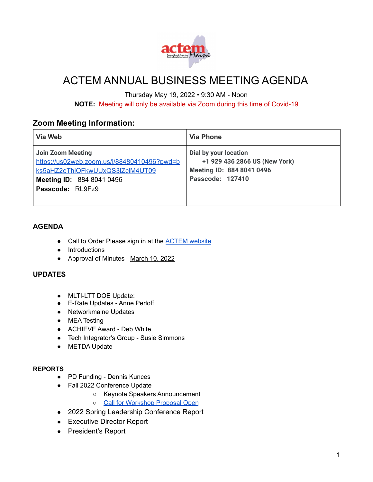

# ACTEM ANNUAL BUSINESS MEETING AGENDA

Thursday May 19, 2022 • 9:30 AM - Noon

**NOTE:** Meeting will only be available via Zoom during this time of Covid-19

# **Zoom Meeting Information:**

| Via Web                                                                                                                                                            | <b>Via Phone</b>                                                                                        |
|--------------------------------------------------------------------------------------------------------------------------------------------------------------------|---------------------------------------------------------------------------------------------------------|
| <b>Join Zoom Meeting</b><br>https://us02web.zoom.us/j/88480410496?pwd=b<br>ks5aHZ2eThiOFkwUUxQS3IZclM4UT09<br><b>Meeting ID: 884 8041 0496</b><br>Passcode: RL9Fz9 | Dial by your location<br>+1 929 436 2866 US (New York)<br>Meeting ID: 884 8041 0496<br>Passcode: 127410 |

## **AGENDA**

- Call to Order Please sign in at the **ACTEM** website
- Introductions
- Approval of Minutes [March 10, 2022](https://docs.google.com/document/d/1H2mayeR4TQ-PUr0o8_c1JoNcOP6Ic5RZ64hOWya6xH8/edit?usp=sharing)

## **UPDATES**

- MLTI-LTT DOE Update:
- E-Rate Updates Anne Perloff
- Networkmaine Updates
- MEA Testing
- ACHIEVE Award Deb White
- Tech Integrator's Group Susie Simmons
- METDA Update

### **REPORTS**

- PD Funding Dennis Kunces
- Fall 2022 Conference Update
	- Keynote Speakers Announcement
	- [Call for Workshop Proposal Open](https://docs.google.com/forms/d/e/1FAIpQLSfcncx0FZGqNrGCHNTDIJCTcq3_WQRwbhUj6o8ZIebcwOTokA/viewform)
- 2022 Spring Leadership Conference Report
- Executive Director Report
- President's Report